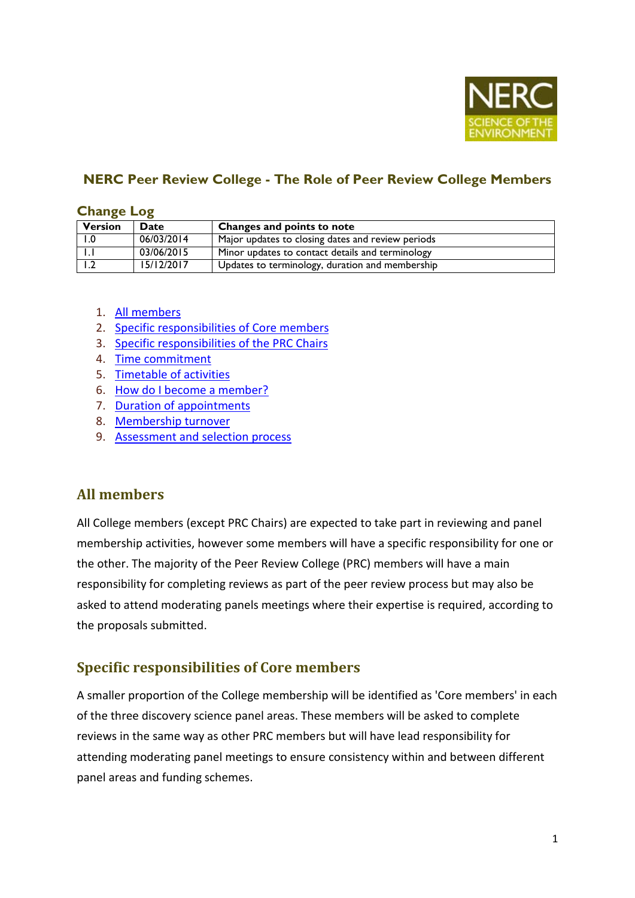

## **NERC Peer Review College - The Role of Peer Review College Members**

#### **Change Log**

| <b>Version</b> | <b>Date</b> | Changes and points to note                        |
|----------------|-------------|---------------------------------------------------|
|                | 06/03/2014  | Major updates to closing dates and review periods |
|                | 03/06/2015  | Minor updates to contact details and terminology  |
|                | 15/12/2017  | Updates to terminology, duration and membership   |

- 1. [All members](#page-0-0)
- 2. [Specific responsibilities of Core](#page-0-1) members
- 3. [Specific responsibilities of the PRC Chairs](#page-1-0)
- 4. [Time commitment](#page-1-1)
- 5. [Timetable of activities](#page-2-0)
- 6. [How do I become a member?](#page-2-1)
- 7. [Duration of appointments](#page-3-0)
- 8. [Membership turnover](#page-3-1)
- 9. [Assessment and selection process](#page-3-2)

### <span id="page-0-0"></span>**All members**

All College members (except PRC Chairs) are expected to take part in reviewing and panel membership activities, however some members will have a specific responsibility for one or the other. The majority of the Peer Review College (PRC) members will have a main responsibility for completing reviews as part of the peer review process but may also be asked to attend moderating panels meetings where their expertise is required, according to the proposals submitted.

### <span id="page-0-1"></span>**Specific responsibilities of Core members**

A smaller proportion of the College membership will be identified as 'Core members' in each of the three discovery science panel areas. These members will be asked to complete reviews in the same way as other PRC members but will have lead responsibility for attending moderating panel meetings to ensure consistency within and between different panel areas and funding schemes.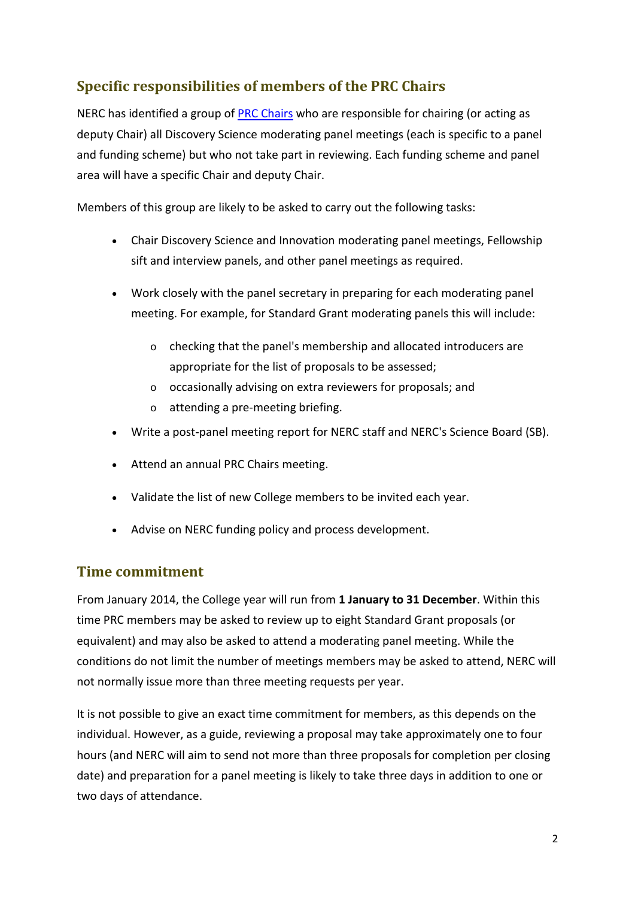# <span id="page-1-0"></span>**Specific responsibilities of members of the PRC Chairs**

NERC has identified a group of [PRC Chairs](http://www.nerc.ac.uk/funding/application/peerreview/) who are responsible for chairing (or acting as deputy Chair) all Discovery Science moderating panel meetings (each is specific to a panel and funding scheme) but who not take part in reviewing. Each funding scheme and panel area will have a specific Chair and deputy Chair.

Members of this group are likely to be asked to carry out the following tasks:

- Chair Discovery Science and Innovation moderating panel meetings, Fellowship sift and interview panels, and other panel meetings as required.
- Work closely with the panel secretary in preparing for each moderating panel meeting. For example, for Standard Grant moderating panels this will include:
	- o checking that the panel's membership and allocated introducers are appropriate for the list of proposals to be assessed;
	- o occasionally advising on extra reviewers for proposals; and
	- o attending a pre-meeting briefing.
- Write a post-panel meeting report for NERC staff and NERC's Science Board (SB).
- Attend an annual PRC Chairs meeting.
- Validate the list of new College members to be invited each year.
- Advise on NERC funding policy and process development.

### <span id="page-1-1"></span>**Time commitment**

From January 2014, the College year will run from **1 January to 31 December**. Within this time PRC members may be asked to review up to eight Standard Grant proposals (or equivalent) and may also be asked to attend a moderating panel meeting. While the conditions do not limit the number of meetings members may be asked to attend, NERC will not normally issue more than three meeting requests per year.

It is not possible to give an exact time commitment for members, as this depends on the individual. However, as a guide, reviewing a proposal may take approximately one to four hours (and NERC will aim to send not more than three proposals for completion per closing date) and preparation for a panel meeting is likely to take three days in addition to one or two days of attendance.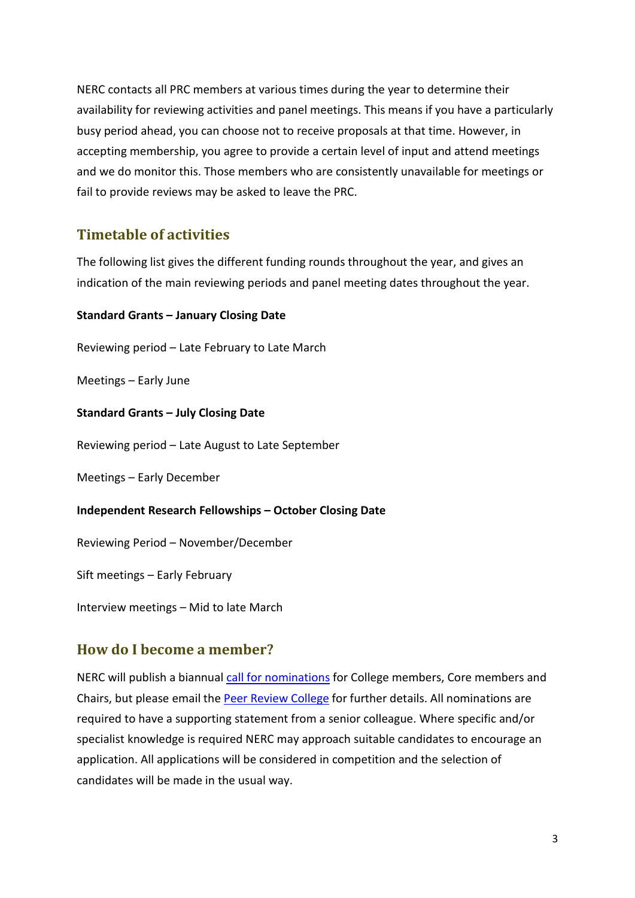NERC contacts all PRC members at various times during the year to determine their availability for reviewing activities and panel meetings. This means if you have a particularly busy period ahead, you can choose not to receive proposals at that time. However, in accepting membership, you agree to provide a certain level of input and attend meetings and we do monitor this. Those members who are consistently unavailable for meetings or fail to provide reviews may be asked to leave the PRC.

## <span id="page-2-0"></span>**Timetable of activities**

The following list gives the different funding rounds throughout the year, and gives an indication of the main reviewing periods and panel meeting dates throughout the year.

#### **Standard Grants – January Closing Date**

Reviewing period – Late February to Late March

Meetings – Early June

**Standard Grants – July Closing Date**

Reviewing period – Late August to Late September

Meetings – Early December

#### **Independent Research Fellowships – October Closing Date**

Reviewing Period – November/December

Sift meetings – Early February

Interview meetings – Mid to late March

### <span id="page-2-1"></span>**How do I become a member?**

NERC will publish a biannual [call for nominations](http://www.nerc.ac.uk/funding/application/peerreview/members-details/members-call/) for College members, Core members and Chairs, but please email the [Peer Review College](http://www.nerc.ac.uk/funding/application/peerreview/contacts/) for further details. All nominations are required to have a supporting statement from a senior colleague. Where specific and/or specialist knowledge is required NERC may approach suitable candidates to encourage an application. All applications will be considered in competition and the selection of candidates will be made in the usual way.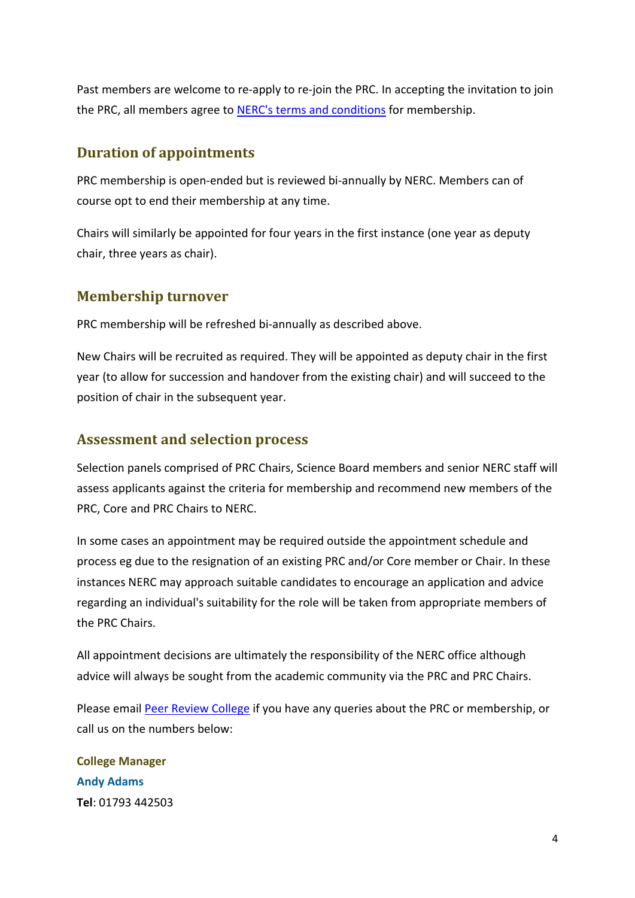Past members are welcome to re-apply to re-join the PRC. In accepting the invitation to join the PRC, all members agree to [NERC's terms and conditions](http://www.nerc.ac.uk/funding/application/peerreview/members-details/college-tandcs/) for membership.

## <span id="page-3-0"></span>**Duration of appointments**

PRC membership is open-ended but is reviewed bi-annually by NERC. Members can of course opt to end their membership at any time.

Chairs will similarly be appointed for four years in the first instance (one year as deputy chair, three years as chair).

### <span id="page-3-1"></span>**Membership turnover**

PRC membership will be refreshed bi-annually as described above.

New Chairs will be recruited as required. They will be appointed as deputy chair in the first year (to allow for succession and handover from the existing chair) and will succeed to the position of chair in the subsequent year.

## <span id="page-3-2"></span>**Assessment and selection process**

Selection panels comprised of PRC Chairs, Science Board members and senior NERC staff will assess applicants against the criteria for membership and recommend new members of the PRC, Core and PRC Chairs to NERC.

In some cases an appointment may be required outside the appointment schedule and process eg due to the resignation of an existing PRC and/or Core member or Chair. In these instances NERC may approach suitable candidates to encourage an application and advice regarding an individual's suitability for the role will be taken from appropriate members of the PRC Chairs.

All appointment decisions are ultimately the responsibility of the NERC office although advice will always be sought from the academic community via the PRC and PRC Chairs.

Please email [Peer Review College](http://www.nerc.ac.uk/funding/application/peerreview/contacts/) if you have any queries about the PRC or membership, or call us on the numbers below:

**College Manager Andy Adams Tel**: 01793 442503